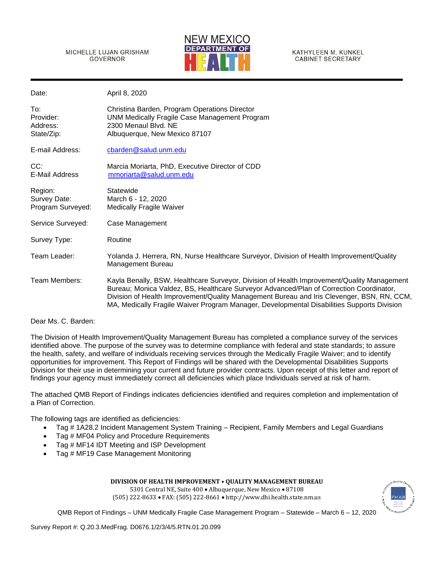MICHELLE LUJAN GRISHAM **GOVERNOR** 



KATHYLEEN M. KUNKEL **CABINET SECRETARY** 

Date: April 8, 2020 To: Christina Barden, Program Operations Director Provider: UNM Medically Fragile Case Management Program Address: 2300 Menaul Blvd. NE State/Zip: Malbuquerque, New Mexico 87107 E-mail Address: [cbarden@salud.unm.edu](mailto:cbarden@salud.unm.edu) CC: Marcia Moriarta, PhD, Executive Director of CDD E-Mail Address [mmoriarta@salud.unm.edu](mailto:mmoriarta@salud.unm.edu) Region: Statewide Survey Date: March 6 - 12, 2020 Program Surveyed: Medically Fragile Waiver Service Surveyed: Case Management Survey Type: Routine Team Leader: Yolanda J. Herrera, RN, Nurse Healthcare Surveyor, Division of Health Improvement/Quality Management Bureau Team Members: Kayla Benally, BSW, Healthcare Surveyor, Division of Health Improvement/Quality Management Bureau; Monica Valdez, BS, Healthcare Surveyor Advanced/Plan of Correction Coordinator, Division of Health Improvement/Quality Management Bureau and Iris Clevenger, BSN, RN, CCM, MA, Medically Fragile Waiver Program Manager, Developmental Disabilities Supports Division

# Dear Ms. C. Barden:

The Division of Health Improvement/Quality Management Bureau has completed a compliance survey of the services identified above. The purpose of the survey was to determine compliance with federal and state standards; to assure the health, safety, and welfare of individuals receiving services through the Medically Fragile Waiver; and to identify opportunities for improvement. This Report of Findings will be shared with the Developmental Disabilities Supports Division for their use in determining your current and future provider contracts. Upon receipt of this letter and report of findings your agency must immediately correct all deficiencies which place Individuals served at risk of harm.

The attached QMB Report of Findings indicates deficiencies identified and requires completion and implementation of a Plan of Correction.

The following tags are identified as deficiencies:

- Tag # 1A28.2 Incident Management System Training Recipient, Family Members and Legal Guardians
- Tag # MF04 Policy and Procedure Requirements
- Tag # MF14 IDT Meeting and ISP Development
- Tag # MF19 Case Management Monitoring

**DIVISION OF HEALTH IMPROVEMENT • QUALITY MANAGEMENT BUREAU** 

5301 Central NE, Suite 400 • Albuquerque, New Mexico • 87108 (505) 222-8633 • FAX: (505) 222-8661 • http://www.dhi.health.state.nm.us

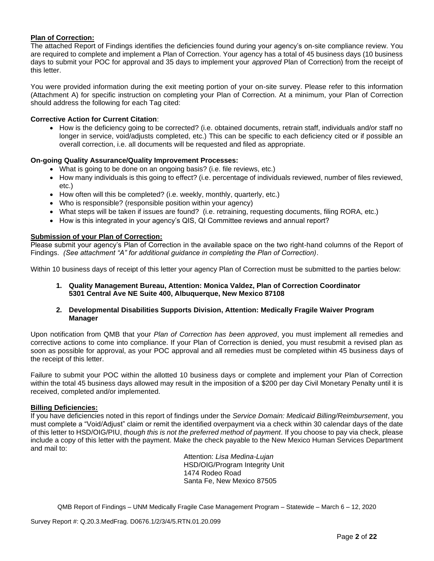### **Plan of Correction:**

The attached Report of Findings identifies the deficiencies found during your agency's on-site compliance review. You are required to complete and implement a Plan of Correction. Your agency has a total of 45 business days (10 business days to submit your POC for approval and 35 days to implement your *approved* Plan of Correction) from the receipt of this letter.

You were provided information during the exit meeting portion of your on-site survey. Please refer to this information (Attachment A) for specific instruction on completing your Plan of Correction. At a minimum, your Plan of Correction should address the following for each Tag cited:

### **Corrective Action for Current Citation**:

• How is the deficiency going to be corrected? (i.e. obtained documents, retrain staff, individuals and/or staff no longer in service, void/adjusts completed, etc.) This can be specific to each deficiency cited or if possible an overall correction, i.e. all documents will be requested and filed as appropriate.

### **On-going Quality Assurance/Quality Improvement Processes:**

- What is going to be done on an ongoing basis? (i.e. file reviews, etc.)
- How many individuals is this going to effect? (i.e. percentage of individuals reviewed, number of files reviewed, etc.)
- How often will this be completed? (i.e. weekly, monthly, quarterly, etc.)
- Who is responsible? (responsible position within your agency)
- What steps will be taken if issues are found? (i.e. retraining, requesting documents, filing RORA, etc.)
- How is this integrated in your agency's QIS, QI Committee reviews and annual report?

### **Submission of your Plan of Correction:**

Please submit your agency's Plan of Correction in the available space on the two right-hand columns of the Report of Findings. *(See attachment "A" for additional guidance in completing the Plan of Correction)*.

Within 10 business days of receipt of this letter your agency Plan of Correction must be submitted to the parties below:

**1. Quality Management Bureau, Attention: Monica Valdez, Plan of Correction Coordinator 5301 Central Ave NE Suite 400, Albuquerque, New Mexico 87108**

### **2. Developmental Disabilities Supports Division, Attention: Medically Fragile Waiver Program Manager**

Upon notification from QMB that your *Plan of Correction has been approved*, you must implement all remedies and corrective actions to come into compliance. If your Plan of Correction is denied, you must resubmit a revised plan as soon as possible for approval, as your POC approval and all remedies must be completed within 45 business days of the receipt of this letter.

Failure to submit your POC within the allotted 10 business days or complete and implement your Plan of Correction within the total 45 business days allowed may result in the imposition of a \$200 per day Civil Monetary Penalty until it is received, completed and/or implemented.

### **Billing Deficiencies:**

If you have deficiencies noted in this report of findings under the *Service Domain: Medicaid Billing/Reimbursement*, you must complete a "Void/Adjust" claim or remit the identified overpayment via a check within 30 calendar days of the date of this letter to HSD/OIG/PIU, *though this is not the preferred method of payment*. If you choose to pay via check, please include a copy of this letter with the payment. Make the check payable to the New Mexico Human Services Department and mail to:

> Attention: *Lisa Medina-Lujan* HSD/OIG/Program Integrity Unit 1474 Rodeo Road Santa Fe, New Mexico 87505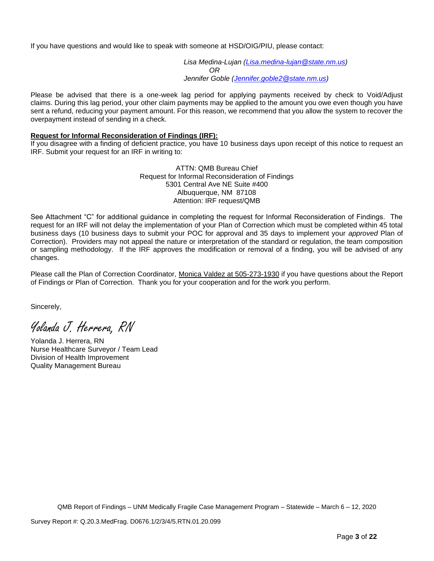If you have questions and would like to speak with someone at HSD/OIG/PIU, please contact:

*Lisa Medina-Lujan [\(Lisa.medina-lujan@state.nm.us\)](mailto:Lisa.medina-lujan@state.nm.us) OR Jennifer Goble [\(Jennifer.goble2@state.nm.us\)](mailto:Jennifer.goble2@state.nm.us)*

Please be advised that there is a one-week lag period for applying payments received by check to Void/Adjust claims. During this lag period, your other claim payments may be applied to the amount you owe even though you have sent a refund, reducing your payment amount. For this reason, we recommend that you allow the system to recover the overpayment instead of sending in a check.

### **Request for Informal Reconsideration of Findings (IRF):**

If you disagree with a finding of deficient practice, you have 10 business days upon receipt of this notice to request an IRF. Submit your request for an IRF in writing to:

> ATTN: QMB Bureau Chief Request for Informal Reconsideration of Findings 5301 Central Ave NE Suite #400 Albuquerque, NM 87108 Attention: IRF request/QMB

See Attachment "C" for additional guidance in completing the request for Informal Reconsideration of Findings. The request for an IRF will not delay the implementation of your Plan of Correction which must be completed within 45 total business days (10 business days to submit your POC for approval and 35 days to implement your *approved* Plan of Correction). Providers may not appeal the nature or interpretation of the standard or regulation, the team composition or sampling methodology. If the IRF approves the modification or removal of a finding, you will be advised of any changes.

Please call the Plan of Correction Coordinator, Monica Valdez at 505-273-1930 if you have questions about the Report of Findings or Plan of Correction. Thank you for your cooperation and for the work you perform.

Sincerely,

Yolanda J. Herrera, RN

Yolanda J. Herrera, RN Nurse Healthcare Surveyor / Team Lead Division of Health Improvement Quality Management Bureau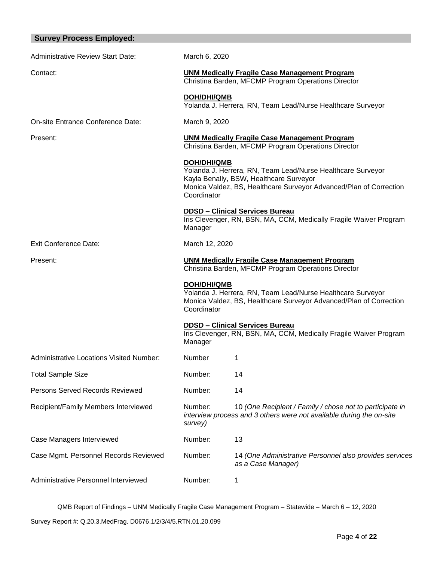| <b>Survey Process Employed:</b>                 |                                                                                                             |                                                                                                                                                                              |  |
|-------------------------------------------------|-------------------------------------------------------------------------------------------------------------|------------------------------------------------------------------------------------------------------------------------------------------------------------------------------|--|
| <b>Administrative Review Start Date:</b>        | March 6, 2020                                                                                               |                                                                                                                                                                              |  |
| Contact:                                        | <b>UNM Medically Fragile Case Management Program</b><br>Christina Barden, MFCMP Program Operations Director |                                                                                                                                                                              |  |
|                                                 | <b>DOH/DHI/QMB</b>                                                                                          | Yolanda J. Herrera, RN, Team Lead/Nurse Healthcare Surveyor                                                                                                                  |  |
| On-site Entrance Conference Date:               | March 9, 2020                                                                                               |                                                                                                                                                                              |  |
| Present:                                        | <b>UNM Medically Fragile Case Management Program</b><br>Christina Barden, MFCMP Program Operations Director |                                                                                                                                                                              |  |
|                                                 | <b>DOH/DHI/QMB</b><br>Coordinator                                                                           | Yolanda J. Herrera, RN, Team Lead/Nurse Healthcare Surveyor<br>Kayla Benally, BSW, Healthcare Surveyor<br>Monica Valdez, BS, Healthcare Surveyor Advanced/Plan of Correction |  |
|                                                 | Manager                                                                                                     | <b>DDSD - Clinical Services Bureau</b><br>Iris Clevenger, RN, BSN, MA, CCM, Medically Fragile Waiver Program                                                                 |  |
| <b>Exit Conference Date:</b>                    | March 12, 2020                                                                                              |                                                                                                                                                                              |  |
| Present:                                        | <b>UNM Medically Fragile Case Management Program</b><br>Christina Barden, MFCMP Program Operations Director |                                                                                                                                                                              |  |
|                                                 | <b>DOH/DHI/QMB</b><br>Coordinator                                                                           | Yolanda J. Herrera, RN, Team Lead/Nurse Healthcare Surveyor<br>Monica Valdez, BS, Healthcare Surveyor Advanced/Plan of Correction                                            |  |
|                                                 | Manager                                                                                                     | <b>DDSD - Clinical Services Bureau</b><br>Iris Clevenger, RN, BSN, MA, CCM, Medically Fragile Waiver Program                                                                 |  |
| <b>Administrative Locations Visited Number:</b> | Number                                                                                                      | 1                                                                                                                                                                            |  |
| <b>Total Sample Size</b>                        | Number:                                                                                                     | 14                                                                                                                                                                           |  |
| Persons Served Records Reviewed                 | Number:                                                                                                     | 14                                                                                                                                                                           |  |
| Recipient/Family Members Interviewed            | Number:<br>survey)                                                                                          | 10 (One Recipient / Family / chose not to participate in<br>interview process and 3 others were not available during the on-site                                             |  |
| Case Managers Interviewed                       | Number:                                                                                                     | 13                                                                                                                                                                           |  |
| Case Mgmt. Personnel Records Reviewed           | Number:                                                                                                     | 14 (One Administrative Personnel also provides services<br>as a Case Manager)                                                                                                |  |
| Administrative Personnel Interviewed            | Number:                                                                                                     | 1                                                                                                                                                                            |  |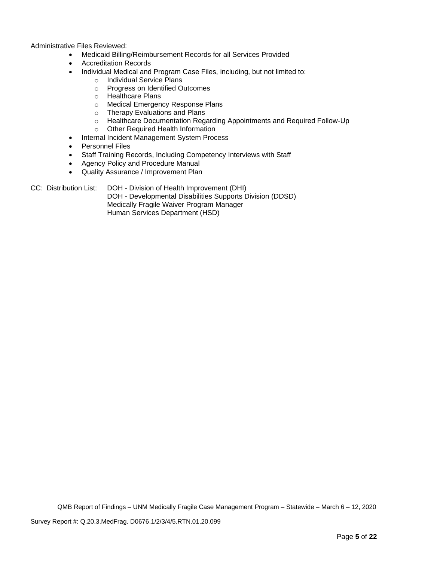Administrative Files Reviewed:

- Medicaid Billing/Reimbursement Records for all Services Provided
- Accreditation Records
- Individual Medical and Program Case Files, including, but not limited to:
	- o Individual Service Plans
	- o Progress on Identified Outcomes
	- o Healthcare Plans
	- o Medical Emergency Response Plans
	- o Therapy Evaluations and Plans
	- o Healthcare Documentation Regarding Appointments and Required Follow-Up
	- o Other Required Health Information
- Internal Incident Management System Process
- Personnel Files
- Staff Training Records, Including Competency Interviews with Staff
- Agency Policy and Procedure Manual
- Quality Assurance / Improvement Plan

CC: Distribution List: DOH - Division of Health Improvement (DHI)

DOH - Developmental Disabilities Supports Division (DDSD) Medically Fragile Waiver Program Manager Human Services Department (HSD)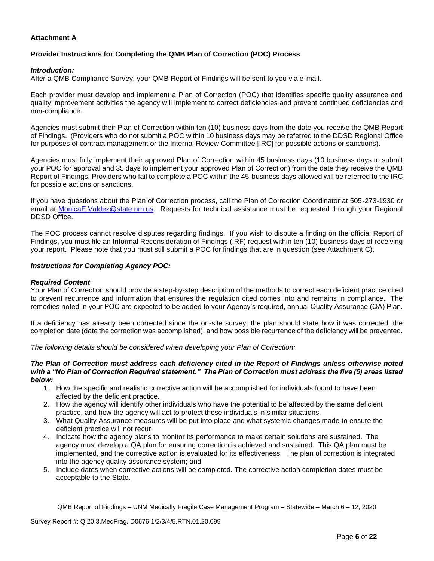### **Attachment A**

### **Provider Instructions for Completing the QMB Plan of Correction (POC) Process**

#### *Introduction:*

After a QMB Compliance Survey, your QMB Report of Findings will be sent to you via e-mail.

Each provider must develop and implement a Plan of Correction (POC) that identifies specific quality assurance and quality improvement activities the agency will implement to correct deficiencies and prevent continued deficiencies and non-compliance.

Agencies must submit their Plan of Correction within ten (10) business days from the date you receive the QMB Report of Findings. (Providers who do not submit a POC within 10 business days may be referred to the DDSD Regional Office for purposes of contract management or the Internal Review Committee [IRC] for possible actions or sanctions).

Agencies must fully implement their approved Plan of Correction within 45 business days (10 business days to submit your POC for approval and 35 days to implement your approved Plan of Correction) from the date they receive the QMB Report of Findings. Providers who fail to complete a POC within the 45-business days allowed will be referred to the IRC for possible actions or sanctions.

If you have questions about the Plan of Correction process, call the Plan of Correction Coordinator at 505-273-1930 or email at [MonicaE.Valdez@state.nm.us.](mailto:MonicaE.Valdez@state.nm.us) Requests for technical assistance must be requested through your Regional DDSD Office.

The POC process cannot resolve disputes regarding findings. If you wish to dispute a finding on the official Report of Findings, you must file an Informal Reconsideration of Findings (IRF) request within ten (10) business days of receiving your report. Please note that you must still submit a POC for findings that are in question (see Attachment C).

#### *Instructions for Completing Agency POC:*

#### *Required Content*

Your Plan of Correction should provide a step-by-step description of the methods to correct each deficient practice cited to prevent recurrence and information that ensures the regulation cited comes into and remains in compliance. The remedies noted in your POC are expected to be added to your Agency's required, annual Quality Assurance (QA) Plan.

If a deficiency has already been corrected since the on-site survey, the plan should state how it was corrected, the completion date (date the correction was accomplished), and how possible recurrence of the deficiency will be prevented.

*The following details should be considered when developing your Plan of Correction:*

#### *The Plan of Correction must address each deficiency cited in the Report of Findings unless otherwise noted with a "No Plan of Correction Required statement." The Plan of Correction must address the five (5) areas listed below:*

- 1. How the specific and realistic corrective action will be accomplished for individuals found to have been affected by the deficient practice.
- 2. How the agency will identify other individuals who have the potential to be affected by the same deficient practice, and how the agency will act to protect those individuals in similar situations.
- 3. What Quality Assurance measures will be put into place and what systemic changes made to ensure the deficient practice will not recur.
- 4. Indicate how the agency plans to monitor its performance to make certain solutions are sustained. The agency must develop a QA plan for ensuring correction is achieved and sustained. This QA plan must be implemented, and the corrective action is evaluated for its effectiveness. The plan of correction is integrated into the agency quality assurance system; and
- 5. Include dates when corrective actions will be completed. The corrective action completion dates must be acceptable to the State.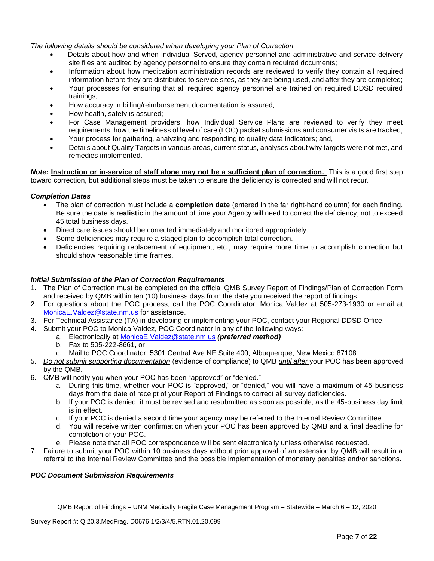*The following details should be considered when developing your Plan of Correction:*

- Details about how and when Individual Served, agency personnel and administrative and service delivery site files are audited by agency personnel to ensure they contain required documents;
- Information about how medication administration records are reviewed to verify they contain all required information before they are distributed to service sites, as they are being used, and after they are completed;
- Your processes for ensuring that all required agency personnel are trained on required DDSD required trainings;
- How accuracy in billing/reimbursement documentation is assured;
- How health, safety is assured;
- For Case Management providers, how Individual Service Plans are reviewed to verify they meet requirements, how the timeliness of level of care (LOC) packet submissions and consumer visits are tracked;
- Your process for gathering, analyzing and responding to quality data indicators; and,
- Details about Quality Targets in various areas, current status, analyses about why targets were not met, and remedies implemented.

*Note:* **Instruction or in-service of staff alone may not be a sufficient plan of correction.** This is a good first step toward correction, but additional steps must be taken to ensure the deficiency is corrected and will not recur.

### *Completion Dates*

- The plan of correction must include a **completion date** (entered in the far right-hand column) for each finding. Be sure the date is **realistic** in the amount of time your Agency will need to correct the deficiency; not to exceed 45 total business days.
- Direct care issues should be corrected immediately and monitored appropriately.
- Some deficiencies may require a staged plan to accomplish total correction.
- Deficiencies requiring replacement of equipment, etc., may require more time to accomplish correction but should show reasonable time frames.

### *Initial Submission of the Plan of Correction Requirements*

- 1. The Plan of Correction must be completed on the official QMB Survey Report of Findings/Plan of Correction Form and received by QMB within ten (10) business days from the date you received the report of findings.
- 2. For questions about the POC process, call the POC Coordinator, Monica Valdez at 505-273-1930 or email at [MonicaE.Valdez@state.nm.us](mailto:MonicaE.Valdez@state.nm.us) for assistance.
- 3. For Technical Assistance (TA) in developing or implementing your POC, contact your Regional DDSD Office.
- 4. Submit your POC to Monica Valdez, POC Coordinator in any of the following ways:
	- a. Electronically at [MonicaE.Valdez@state.nm.us](mailto:MonicaE.Valdez@state.nm.us) *(preferred method)*
	- b. Fax to 505-222-8661, or
	- c. Mail to POC Coordinator, 5301 Central Ave NE Suite 400, Albuquerque, New Mexico 87108
- 5. *Do not submit supporting documentation* (evidence of compliance) to QMB *until after* your POC has been approved by the QMB.
- 6. QMB will notify you when your POC has been "approved" or "denied."
	- a. During this time, whether your POC is "approved," or "denied," you will have a maximum of 45-business days from the date of receipt of your Report of Findings to correct all survey deficiencies.
	- b. If your POC is denied, it must be revised and resubmitted as soon as possible, as the 45-business day limit is in effect.
	- c. If your POC is denied a second time your agency may be referred to the Internal Review Committee.
	- d. You will receive written confirmation when your POC has been approved by QMB and a final deadline for completion of your POC.
	- e. Please note that all POC correspondence will be sent electronically unless otherwise requested.
- 7. Failure to submit your POC within 10 business days without prior approval of an extension by QMB will result in a referral to the Internal Review Committee and the possible implementation of monetary penalties and/or sanctions.

### *POC Document Submission Requirements*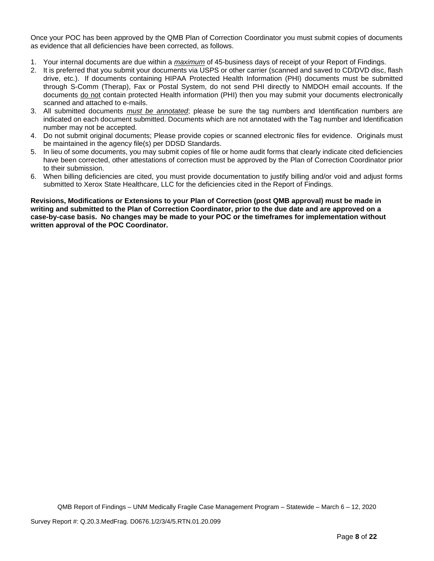Once your POC has been approved by the QMB Plan of Correction Coordinator you must submit copies of documents as evidence that all deficiencies have been corrected, as follows.

- 1. Your internal documents are due within a *maximum* of 45-business days of receipt of your Report of Findings.
- 2. It is preferred that you submit your documents via USPS or other carrier (scanned and saved to CD/DVD disc, flash drive, etc.). If documents containing HIPAA Protected Health Information (PHI) documents must be submitted through S-Comm (Therap), Fax or Postal System, do not send PHI directly to NMDOH email accounts. If the documents do not contain protected Health information (PHI) then you may submit your documents electronically scanned and attached to e-mails.
- 3. All submitted documents *must be annotated*; please be sure the tag numbers and Identification numbers are indicated on each document submitted. Documents which are not annotated with the Tag number and Identification number may not be accepted.
- 4. Do not submit original documents; Please provide copies or scanned electronic files for evidence. Originals must be maintained in the agency file(s) per DDSD Standards.
- 5. In lieu of some documents, you may submit copies of file or home audit forms that clearly indicate cited deficiencies have been corrected, other attestations of correction must be approved by the Plan of Correction Coordinator prior to their submission.
- 6. When billing deficiencies are cited, you must provide documentation to justify billing and/or void and adjust forms submitted to Xerox State Healthcare, LLC for the deficiencies cited in the Report of Findings.

**Revisions, Modifications or Extensions to your Plan of Correction (post QMB approval) must be made in writing and submitted to the Plan of Correction Coordinator, prior to the due date and are approved on a case-by-case basis. No changes may be made to your POC or the timeframes for implementation without written approval of the POC Coordinator.**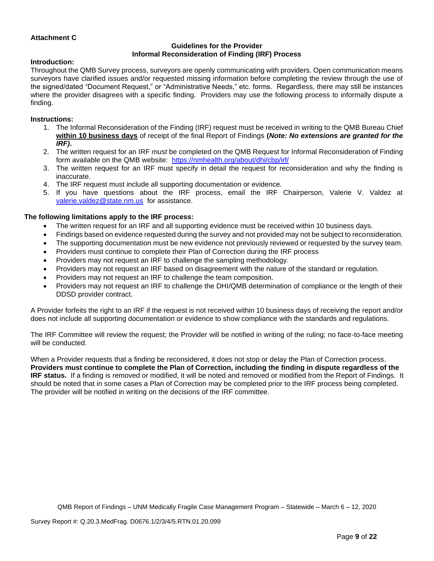### **Attachment C**

### **Guidelines for the Provider Informal Reconsideration of Finding (IRF) Process**

### **Introduction:**

Throughout the QMB Survey process, surveyors are openly communicating with providers. Open communication means surveyors have clarified issues and/or requested missing information before completing the review through the use of the signed/dated "Document Request," or "Administrative Needs," etc. forms. Regardless, there may still be instances where the provider disagrees with a specific finding. Providers may use the following process to informally dispute a finding.

### **Instructions:**

- 1. The Informal Reconsideration of the Finding (IRF) request must be received in writing to the QMB Bureau Chief **within 10 business days** of receipt of the final Report of Findings **(***Note: No extensions are granted for the IRF)***.**
- 2. The written request for an IRF *must* be completed on the QMB Request for Informal Reconsideration of Finding form available on the QMB website: <https://nmhealth.org/about/dhi/cbp/irf/>
- 3. The written request for an IRF must specify in detail the request for reconsideration and why the finding is inaccurate.
- 4. The IRF request must include all supporting documentation or evidence.
- 5. If you have questions about the IRF process, email the IRF Chairperson, Valerie V. Valdez at [valerie.valdez@state.nm.us](mailto:valerie.valdez@state.nm.us) for assistance.

### **The following limitations apply to the IRF process:**

- The written request for an IRF and all supporting evidence must be received within 10 business days.
- Findings based on evidence requested during the survey and not provided may not be subject to reconsideration.
- The supporting documentation must be new evidence not previously reviewed or requested by the survey team.
- Providers must continue to complete their Plan of Correction during the IRF process
- Providers may not request an IRF to challenge the sampling methodology.
- Providers may not request an IRF based on disagreement with the nature of the standard or regulation.
- Providers may not request an IRF to challenge the team composition.
- Providers may not request an IRF to challenge the DHI/QMB determination of compliance or the length of their DDSD provider contract.

A Provider forfeits the right to an IRF if the request is not received within 10 business days of receiving the report and/or does not include all supporting documentation or evidence to show compliance with the standards and regulations.

The IRF Committee will review the request; the Provider will be notified in writing of the ruling; no face-to-face meeting will be conducted.

When a Provider requests that a finding be reconsidered, it does not stop or delay the Plan of Correction process. **Providers must continue to complete the Plan of Correction, including the finding in dispute regardless of the IRF status.** If a finding is removed or modified, it will be noted and removed or modified from the Report of Findings. It should be noted that in some cases a Plan of Correction may be completed prior to the IRF process being completed. The provider will be notified in writing on the decisions of the IRF committee.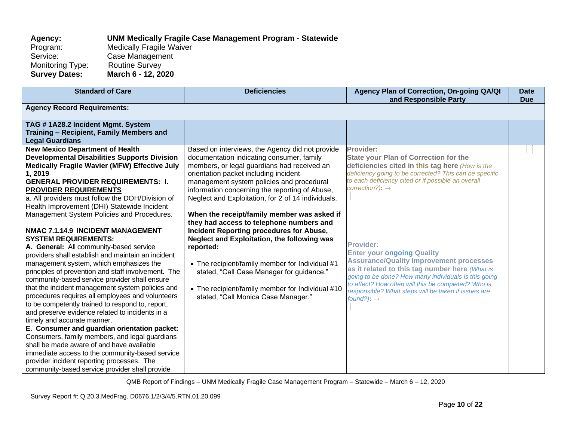# **Agency: UNM Medically Fragile Case Management Program - Statewide** Program: Medically Fragile Waiver<br>Service: Case Management Case Management<br>Routine Survey Monitoring Type:<br>Survey Dates: **Survey Dates: March 6 - 12, 2020**

| <b>Standard of Care</b>                                                                                                                                                                                                                                                                                                                                                                                                                                                                                                                                                                                                                                                                                                                                                                                                                                                                                                                                                                                                                                                                                                                                                                                                                                                     | <b>Deficiencies</b>                                                                                                                                                                                                                                                                                                                                                                                                                                                                                                                                                                                                                                                                                                                     | Agency Plan of Correction, On-going QA/QI<br>and Responsible Party                                                                                                                                                                                                                                                                                                                                                                                                                                                                                                                                                       | <b>Date</b><br><b>Due</b> |
|-----------------------------------------------------------------------------------------------------------------------------------------------------------------------------------------------------------------------------------------------------------------------------------------------------------------------------------------------------------------------------------------------------------------------------------------------------------------------------------------------------------------------------------------------------------------------------------------------------------------------------------------------------------------------------------------------------------------------------------------------------------------------------------------------------------------------------------------------------------------------------------------------------------------------------------------------------------------------------------------------------------------------------------------------------------------------------------------------------------------------------------------------------------------------------------------------------------------------------------------------------------------------------|-----------------------------------------------------------------------------------------------------------------------------------------------------------------------------------------------------------------------------------------------------------------------------------------------------------------------------------------------------------------------------------------------------------------------------------------------------------------------------------------------------------------------------------------------------------------------------------------------------------------------------------------------------------------------------------------------------------------------------------------|--------------------------------------------------------------------------------------------------------------------------------------------------------------------------------------------------------------------------------------------------------------------------------------------------------------------------------------------------------------------------------------------------------------------------------------------------------------------------------------------------------------------------------------------------------------------------------------------------------------------------|---------------------------|
| <b>Agency Record Requirements:</b>                                                                                                                                                                                                                                                                                                                                                                                                                                                                                                                                                                                                                                                                                                                                                                                                                                                                                                                                                                                                                                                                                                                                                                                                                                          |                                                                                                                                                                                                                                                                                                                                                                                                                                                                                                                                                                                                                                                                                                                                         |                                                                                                                                                                                                                                                                                                                                                                                                                                                                                                                                                                                                                          |                           |
| TAG #1A28.2 Incident Mgmt. System<br>Training - Recipient, Family Members and<br><b>Legal Guardians</b>                                                                                                                                                                                                                                                                                                                                                                                                                                                                                                                                                                                                                                                                                                                                                                                                                                                                                                                                                                                                                                                                                                                                                                     |                                                                                                                                                                                                                                                                                                                                                                                                                                                                                                                                                                                                                                                                                                                                         |                                                                                                                                                                                                                                                                                                                                                                                                                                                                                                                                                                                                                          |                           |
| <b>New Mexico Department of Health</b><br><b>Developmental Disabilities Supports Division</b><br><b>Medically Fragile Wavier (MFW) Effective July</b><br>1,2019<br><b>GENERAL PROVIDER REQUIREMENTS: I.</b><br><b>PROVIDER REQUIREMENTS</b><br>a. All providers must follow the DOH/Division of<br>Health Improvement (DHI) Statewide Incident<br>Management System Policies and Procedures.<br><b>NMAC 7.1.14.9 INCIDENT MANAGEMENT</b><br><b>SYSTEM REQUIREMENTS:</b><br>A. General: All community-based service<br>providers shall establish and maintain an incident<br>management system, which emphasizes the<br>principles of prevention and staff involvement. The<br>community-based service provider shall ensure<br>that the incident management system policies and<br>procedures requires all employees and volunteers<br>to be competently trained to respond to, report,<br>and preserve evidence related to incidents in a<br>timely and accurate manner.<br>E. Consumer and guardian orientation packet:<br>Consumers, family members, and legal guardians<br>shall be made aware of and have available<br>immediate access to the community-based service<br>provider incident reporting processes. The<br>community-based service provider shall provide | Based on interviews, the Agency did not provide<br>documentation indicating consumer, family<br>members, or legal guardians had received an<br>orientation packet including incident<br>management system policies and procedural<br>information concerning the reporting of Abuse,<br>Neglect and Exploitation, for 2 of 14 individuals.<br>When the receipt/family member was asked if<br>they had access to telephone numbers and<br>Incident Reporting procedures for Abuse,<br>Neglect and Exploitation, the following was<br>reported:<br>• The recipient/family member for Individual #1<br>stated, "Call Case Manager for guidance."<br>• The recipient/family member for Individual #10<br>stated, "Call Monica Case Manager." | Provider:<br><b>State your Plan of Correction for the</b><br>deficiencies cited in this tag here (How is the<br>deficiency going to be corrected? This can be specific<br>to each deficiency cited or if possible an overall<br>correction?): $\rightarrow$<br><b>Provider:</b><br><b>Enter your ongoing Quality</b><br><b>Assurance/Quality Improvement processes</b><br>as it related to this tag number here (What is<br>going to be done? How many individuals is this going<br>to affect? How often will this be completed? Who is<br>responsible? What steps will be taken if issues are<br>found?): $\rightarrow$ |                           |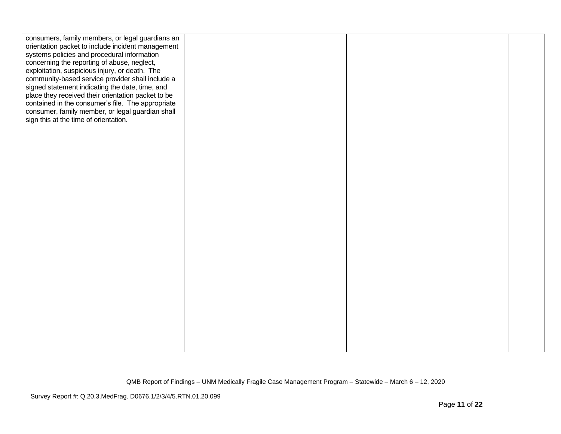| systems policies and procedural information<br>concerning the reporting of abuse, neglect,<br>exploitation, suspicious injury, or death. The<br>community-based service provider shall include a<br>signed statement indicating the date, time, and<br>place they received their orientation packet to be<br>contained in the consumer's file. The appropriate<br>consumer, family member, or legal guardian shall<br>sign this at the time of orientation. | consumers, family members, or legal guardians an<br>orientation packet to include incident management |  |  |
|-------------------------------------------------------------------------------------------------------------------------------------------------------------------------------------------------------------------------------------------------------------------------------------------------------------------------------------------------------------------------------------------------------------------------------------------------------------|-------------------------------------------------------------------------------------------------------|--|--|
|                                                                                                                                                                                                                                                                                                                                                                                                                                                             |                                                                                                       |  |  |
|                                                                                                                                                                                                                                                                                                                                                                                                                                                             |                                                                                                       |  |  |
|                                                                                                                                                                                                                                                                                                                                                                                                                                                             |                                                                                                       |  |  |
|                                                                                                                                                                                                                                                                                                                                                                                                                                                             |                                                                                                       |  |  |
|                                                                                                                                                                                                                                                                                                                                                                                                                                                             |                                                                                                       |  |  |
|                                                                                                                                                                                                                                                                                                                                                                                                                                                             |                                                                                                       |  |  |
|                                                                                                                                                                                                                                                                                                                                                                                                                                                             |                                                                                                       |  |  |
|                                                                                                                                                                                                                                                                                                                                                                                                                                                             |                                                                                                       |  |  |
|                                                                                                                                                                                                                                                                                                                                                                                                                                                             |                                                                                                       |  |  |
|                                                                                                                                                                                                                                                                                                                                                                                                                                                             |                                                                                                       |  |  |
|                                                                                                                                                                                                                                                                                                                                                                                                                                                             |                                                                                                       |  |  |
|                                                                                                                                                                                                                                                                                                                                                                                                                                                             |                                                                                                       |  |  |
|                                                                                                                                                                                                                                                                                                                                                                                                                                                             |                                                                                                       |  |  |
|                                                                                                                                                                                                                                                                                                                                                                                                                                                             |                                                                                                       |  |  |
|                                                                                                                                                                                                                                                                                                                                                                                                                                                             |                                                                                                       |  |  |
|                                                                                                                                                                                                                                                                                                                                                                                                                                                             |                                                                                                       |  |  |
|                                                                                                                                                                                                                                                                                                                                                                                                                                                             |                                                                                                       |  |  |
|                                                                                                                                                                                                                                                                                                                                                                                                                                                             |                                                                                                       |  |  |
|                                                                                                                                                                                                                                                                                                                                                                                                                                                             |                                                                                                       |  |  |
|                                                                                                                                                                                                                                                                                                                                                                                                                                                             |                                                                                                       |  |  |
|                                                                                                                                                                                                                                                                                                                                                                                                                                                             |                                                                                                       |  |  |
|                                                                                                                                                                                                                                                                                                                                                                                                                                                             |                                                                                                       |  |  |
|                                                                                                                                                                                                                                                                                                                                                                                                                                                             |                                                                                                       |  |  |
|                                                                                                                                                                                                                                                                                                                                                                                                                                                             |                                                                                                       |  |  |
|                                                                                                                                                                                                                                                                                                                                                                                                                                                             |                                                                                                       |  |  |
|                                                                                                                                                                                                                                                                                                                                                                                                                                                             |                                                                                                       |  |  |
|                                                                                                                                                                                                                                                                                                                                                                                                                                                             |                                                                                                       |  |  |
|                                                                                                                                                                                                                                                                                                                                                                                                                                                             |                                                                                                       |  |  |
|                                                                                                                                                                                                                                                                                                                                                                                                                                                             |                                                                                                       |  |  |
|                                                                                                                                                                                                                                                                                                                                                                                                                                                             |                                                                                                       |  |  |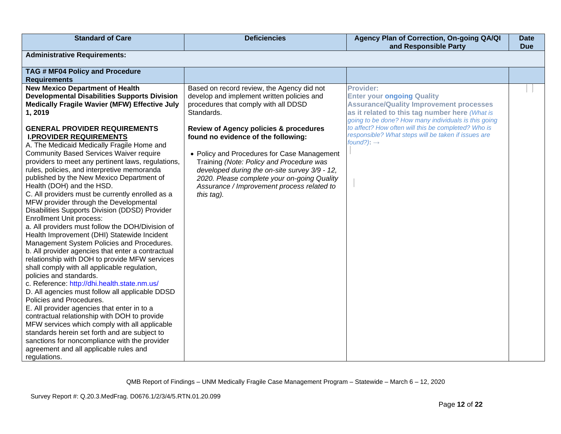| <b>Standard of Care</b>                                                                                                                                                                                                                                                                                                                                                                                                                                                                                                                                                                                                                                                                                                                                                                                                                                                                                                                                                                                                                                                                                                                                                                                                                                                                                                                                                                                                        | <b>Deficiencies</b>                                                                                                                                                                                                                                                                                                                                                                                                                                                                               | Agency Plan of Correction, On-going QA/QI<br>and Responsible Party                                                                                                                                                                                                                                                                                 | <b>Date</b><br><b>Due</b> |
|--------------------------------------------------------------------------------------------------------------------------------------------------------------------------------------------------------------------------------------------------------------------------------------------------------------------------------------------------------------------------------------------------------------------------------------------------------------------------------------------------------------------------------------------------------------------------------------------------------------------------------------------------------------------------------------------------------------------------------------------------------------------------------------------------------------------------------------------------------------------------------------------------------------------------------------------------------------------------------------------------------------------------------------------------------------------------------------------------------------------------------------------------------------------------------------------------------------------------------------------------------------------------------------------------------------------------------------------------------------------------------------------------------------------------------|---------------------------------------------------------------------------------------------------------------------------------------------------------------------------------------------------------------------------------------------------------------------------------------------------------------------------------------------------------------------------------------------------------------------------------------------------------------------------------------------------|----------------------------------------------------------------------------------------------------------------------------------------------------------------------------------------------------------------------------------------------------------------------------------------------------------------------------------------------------|---------------------------|
| <b>Administrative Requirements:</b>                                                                                                                                                                                                                                                                                                                                                                                                                                                                                                                                                                                                                                                                                                                                                                                                                                                                                                                                                                                                                                                                                                                                                                                                                                                                                                                                                                                            |                                                                                                                                                                                                                                                                                                                                                                                                                                                                                                   |                                                                                                                                                                                                                                                                                                                                                    |                           |
| TAG # MF04 Policy and Procedure<br><b>Requirements</b>                                                                                                                                                                                                                                                                                                                                                                                                                                                                                                                                                                                                                                                                                                                                                                                                                                                                                                                                                                                                                                                                                                                                                                                                                                                                                                                                                                         |                                                                                                                                                                                                                                                                                                                                                                                                                                                                                                   |                                                                                                                                                                                                                                                                                                                                                    |                           |
| <b>New Mexico Department of Health</b><br><b>Developmental Disabilities Supports Division</b><br><b>Medically Fragile Wavier (MFW) Effective July</b><br>1,2019<br><b>GENERAL PROVIDER REQUIREMENTS</b><br><b>I.PROVIDER REQUIREMENTS</b><br>A. The Medicaid Medically Fragile Home and<br><b>Community Based Services Waiver require</b><br>providers to meet any pertinent laws, regulations,<br>rules, policies, and interpretive memoranda<br>published by the New Mexico Department of<br>Health (DOH) and the HSD.<br>C. All providers must be currently enrolled as a<br>MFW provider through the Developmental<br>Disabilities Supports Division (DDSD) Provider<br><b>Enrollment Unit process:</b><br>a. All providers must follow the DOH/Division of<br>Health Improvement (DHI) Statewide Incident<br>Management System Policies and Procedures.<br>b. All provider agencies that enter a contractual<br>relationship with DOH to provide MFW services<br>shall comply with all applicable regulation,<br>policies and standards.<br>c. Reference: http://dhi.health.state.nm.us/<br>D. All agencies must follow all applicable DDSD<br>Policies and Procedures.<br>E. All provider agencies that enter in to a<br>contractual relationship with DOH to provide<br>MFW services which comply with all applicable<br>standards herein set forth and are subject to<br>sanctions for noncompliance with the provider | Based on record review, the Agency did not<br>develop and implement written policies and<br>procedures that comply with all DDSD<br>Standards.<br><b>Review of Agency policies &amp; procedures</b><br>found no evidence of the following:<br>• Policy and Procedures for Case Management<br>Training (Note: Policy and Procedure was<br>developed during the on-site survey 3/9 - 12,<br>2020. Please complete your on-going Quality<br>Assurance / Improvement process related to<br>this tag). | Provider:<br><b>Enter your ongoing Quality</b><br><b>Assurance/Quality Improvement processes</b><br>as it related to this tag number here (What is<br>going to be done? How many individuals is this going<br>to affect? How often will this be completed? Who is<br>responsible? What steps will be taken if issues are<br>found?): $\rightarrow$ |                           |
| agreement and all applicable rules and<br>regulations.                                                                                                                                                                                                                                                                                                                                                                                                                                                                                                                                                                                                                                                                                                                                                                                                                                                                                                                                                                                                                                                                                                                                                                                                                                                                                                                                                                         |                                                                                                                                                                                                                                                                                                                                                                                                                                                                                                   |                                                                                                                                                                                                                                                                                                                                                    |                           |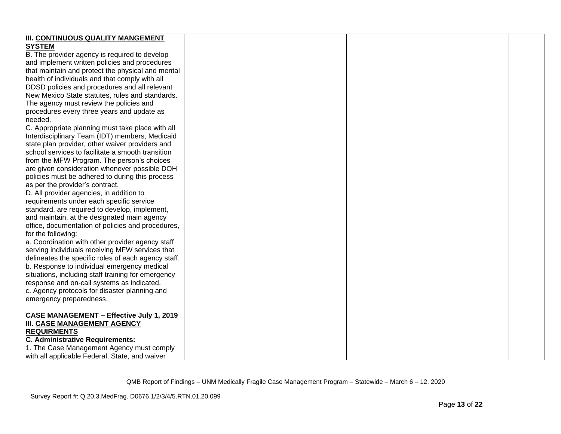| III. CONTINUOUS QUALITY MANGEMENT                                                                      |  |  |
|--------------------------------------------------------------------------------------------------------|--|--|
| <b>SYSTEM</b><br>B. The provider agency is required to develop                                         |  |  |
| and implement written policies and procedures                                                          |  |  |
| that maintain and protect the physical and mental                                                      |  |  |
| health of individuals and that comply with all                                                         |  |  |
| DDSD policies and procedures and all relevant                                                          |  |  |
| New Mexico State statutes, rules and standards.                                                        |  |  |
| The agency must review the policies and                                                                |  |  |
| procedures every three years and update as                                                             |  |  |
| needed.                                                                                                |  |  |
| C. Appropriate planning must take place with all                                                       |  |  |
| Interdisciplinary Team (IDT) members, Medicaid                                                         |  |  |
| state plan provider, other waiver providers and                                                        |  |  |
| school services to facilitate a smooth transition                                                      |  |  |
| from the MFW Program. The person's choices                                                             |  |  |
| are given consideration whenever possible DOH                                                          |  |  |
| policies must be adhered to during this process                                                        |  |  |
| as per the provider's contract.                                                                        |  |  |
| D. All provider agencies, in addition to                                                               |  |  |
| requirements under each specific service                                                               |  |  |
| standard, are required to develop, implement,                                                          |  |  |
| and maintain, at the designated main agency                                                            |  |  |
| office, documentation of policies and procedures,                                                      |  |  |
| for the following:                                                                                     |  |  |
| a. Coordination with other provider agency staff                                                       |  |  |
| serving individuals receiving MFW services that<br>delineates the specific roles of each agency staff. |  |  |
| b. Response to individual emergency medical                                                            |  |  |
| situations, including staff training for emergency                                                     |  |  |
| response and on-call systems as indicated.                                                             |  |  |
| c. Agency protocols for disaster planning and                                                          |  |  |
| emergency preparedness.                                                                                |  |  |
|                                                                                                        |  |  |
| <b>CASE MANAGEMENT - Effective July 1, 2019</b>                                                        |  |  |
| III. CASE MANAGEMENT AGENCY                                                                            |  |  |
| <b>REQUIRMENTS</b>                                                                                     |  |  |
| <b>C. Administrative Requirements:</b>                                                                 |  |  |
| 1. The Case Management Agency must comply                                                              |  |  |
| with all applicable Federal, State, and waiver                                                         |  |  |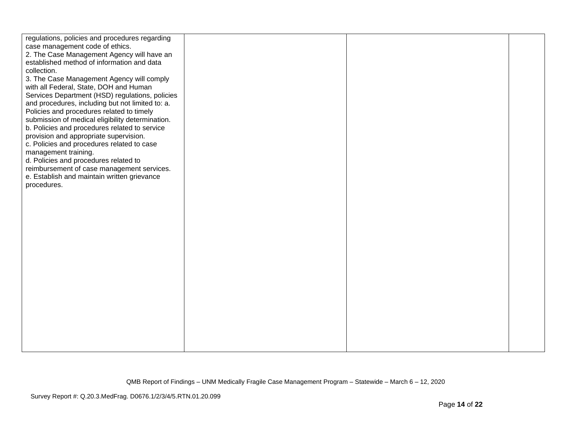| regulations, policies and procedures regarding<br>case management code of ethics.<br>2. The Case Management Agency will have an<br>established method of information and data<br>collection.<br>3. The Case Management Agency will comply<br>with all Federal, State, DOH and Human<br>Services Department (HSD) regulations, policies<br>and procedures, including but not limited to: a.<br>Policies and procedures related to timely<br>submission of medical eligibility determination.<br>b. Policies and procedures related to service<br>provision and appropriate supervision.<br>c. Policies and procedures related to case<br>management training.<br>d. Policies and procedures related to<br>reimbursement of case management services.<br>e. Establish and maintain written grievance<br>procedures. |
|-------------------------------------------------------------------------------------------------------------------------------------------------------------------------------------------------------------------------------------------------------------------------------------------------------------------------------------------------------------------------------------------------------------------------------------------------------------------------------------------------------------------------------------------------------------------------------------------------------------------------------------------------------------------------------------------------------------------------------------------------------------------------------------------------------------------|
|                                                                                                                                                                                                                                                                                                                                                                                                                                                                                                                                                                                                                                                                                                                                                                                                                   |
|                                                                                                                                                                                                                                                                                                                                                                                                                                                                                                                                                                                                                                                                                                                                                                                                                   |
|                                                                                                                                                                                                                                                                                                                                                                                                                                                                                                                                                                                                                                                                                                                                                                                                                   |
|                                                                                                                                                                                                                                                                                                                                                                                                                                                                                                                                                                                                                                                                                                                                                                                                                   |
|                                                                                                                                                                                                                                                                                                                                                                                                                                                                                                                                                                                                                                                                                                                                                                                                                   |
|                                                                                                                                                                                                                                                                                                                                                                                                                                                                                                                                                                                                                                                                                                                                                                                                                   |
|                                                                                                                                                                                                                                                                                                                                                                                                                                                                                                                                                                                                                                                                                                                                                                                                                   |
|                                                                                                                                                                                                                                                                                                                                                                                                                                                                                                                                                                                                                                                                                                                                                                                                                   |
|                                                                                                                                                                                                                                                                                                                                                                                                                                                                                                                                                                                                                                                                                                                                                                                                                   |
|                                                                                                                                                                                                                                                                                                                                                                                                                                                                                                                                                                                                                                                                                                                                                                                                                   |
|                                                                                                                                                                                                                                                                                                                                                                                                                                                                                                                                                                                                                                                                                                                                                                                                                   |
|                                                                                                                                                                                                                                                                                                                                                                                                                                                                                                                                                                                                                                                                                                                                                                                                                   |
|                                                                                                                                                                                                                                                                                                                                                                                                                                                                                                                                                                                                                                                                                                                                                                                                                   |
|                                                                                                                                                                                                                                                                                                                                                                                                                                                                                                                                                                                                                                                                                                                                                                                                                   |
|                                                                                                                                                                                                                                                                                                                                                                                                                                                                                                                                                                                                                                                                                                                                                                                                                   |
|                                                                                                                                                                                                                                                                                                                                                                                                                                                                                                                                                                                                                                                                                                                                                                                                                   |
|                                                                                                                                                                                                                                                                                                                                                                                                                                                                                                                                                                                                                                                                                                                                                                                                                   |
|                                                                                                                                                                                                                                                                                                                                                                                                                                                                                                                                                                                                                                                                                                                                                                                                                   |
|                                                                                                                                                                                                                                                                                                                                                                                                                                                                                                                                                                                                                                                                                                                                                                                                                   |
|                                                                                                                                                                                                                                                                                                                                                                                                                                                                                                                                                                                                                                                                                                                                                                                                                   |
|                                                                                                                                                                                                                                                                                                                                                                                                                                                                                                                                                                                                                                                                                                                                                                                                                   |
|                                                                                                                                                                                                                                                                                                                                                                                                                                                                                                                                                                                                                                                                                                                                                                                                                   |
|                                                                                                                                                                                                                                                                                                                                                                                                                                                                                                                                                                                                                                                                                                                                                                                                                   |
|                                                                                                                                                                                                                                                                                                                                                                                                                                                                                                                                                                                                                                                                                                                                                                                                                   |
|                                                                                                                                                                                                                                                                                                                                                                                                                                                                                                                                                                                                                                                                                                                                                                                                                   |
|                                                                                                                                                                                                                                                                                                                                                                                                                                                                                                                                                                                                                                                                                                                                                                                                                   |
|                                                                                                                                                                                                                                                                                                                                                                                                                                                                                                                                                                                                                                                                                                                                                                                                                   |
|                                                                                                                                                                                                                                                                                                                                                                                                                                                                                                                                                                                                                                                                                                                                                                                                                   |
|                                                                                                                                                                                                                                                                                                                                                                                                                                                                                                                                                                                                                                                                                                                                                                                                                   |
|                                                                                                                                                                                                                                                                                                                                                                                                                                                                                                                                                                                                                                                                                                                                                                                                                   |
|                                                                                                                                                                                                                                                                                                                                                                                                                                                                                                                                                                                                                                                                                                                                                                                                                   |
|                                                                                                                                                                                                                                                                                                                                                                                                                                                                                                                                                                                                                                                                                                                                                                                                                   |
|                                                                                                                                                                                                                                                                                                                                                                                                                                                                                                                                                                                                                                                                                                                                                                                                                   |
|                                                                                                                                                                                                                                                                                                                                                                                                                                                                                                                                                                                                                                                                                                                                                                                                                   |
|                                                                                                                                                                                                                                                                                                                                                                                                                                                                                                                                                                                                                                                                                                                                                                                                                   |
|                                                                                                                                                                                                                                                                                                                                                                                                                                                                                                                                                                                                                                                                                                                                                                                                                   |
|                                                                                                                                                                                                                                                                                                                                                                                                                                                                                                                                                                                                                                                                                                                                                                                                                   |
|                                                                                                                                                                                                                                                                                                                                                                                                                                                                                                                                                                                                                                                                                                                                                                                                                   |
|                                                                                                                                                                                                                                                                                                                                                                                                                                                                                                                                                                                                                                                                                                                                                                                                                   |
|                                                                                                                                                                                                                                                                                                                                                                                                                                                                                                                                                                                                                                                                                                                                                                                                                   |
|                                                                                                                                                                                                                                                                                                                                                                                                                                                                                                                                                                                                                                                                                                                                                                                                                   |
|                                                                                                                                                                                                                                                                                                                                                                                                                                                                                                                                                                                                                                                                                                                                                                                                                   |
|                                                                                                                                                                                                                                                                                                                                                                                                                                                                                                                                                                                                                                                                                                                                                                                                                   |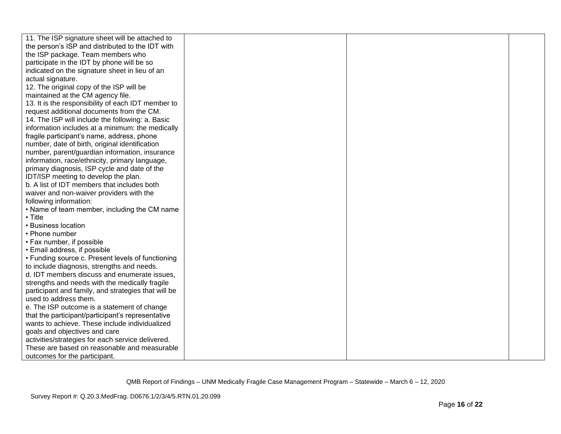| 11. The ISP signature sheet will be attached to     |  |  |
|-----------------------------------------------------|--|--|
| the person's ISP and distributed to the IDT with    |  |  |
| the ISP package. Team members who                   |  |  |
| participate in the IDT by phone will be so          |  |  |
| indicated on the signature sheet in lieu of an      |  |  |
| actual signature.                                   |  |  |
| 12. The original copy of the ISP will be            |  |  |
| maintained at the CM agency file.                   |  |  |
| 13. It is the responsibility of each IDT member to  |  |  |
| request additional documents from the CM.           |  |  |
| 14. The ISP will include the following: a. Basic    |  |  |
| information includes at a minimum: the medically    |  |  |
| fragile participant's name, address, phone          |  |  |
| number, date of birth, original identification      |  |  |
| number, parent/guardian information, insurance      |  |  |
| information, race/ethnicity, primary language,      |  |  |
| primary diagnosis, ISP cycle and date of the        |  |  |
| IDT/ISP meeting to develop the plan.                |  |  |
| b. A list of IDT members that includes both         |  |  |
| waiver and non-waiver providers with the            |  |  |
| following information:                              |  |  |
| • Name of team member, including the CM name        |  |  |
| $\cdot$ Title                                       |  |  |
| • Business location                                 |  |  |
| • Phone number                                      |  |  |
| • Fax number, if possible                           |  |  |
| • Email address, if possible                        |  |  |
| • Funding source c. Present levels of functioning   |  |  |
| to include diagnosis, strengths and needs.          |  |  |
| d. IDT members discuss and enumerate issues,        |  |  |
| strengths and needs with the medically fragile      |  |  |
| participant and family, and strategies that will be |  |  |
| used to address them.                               |  |  |
| e. The ISP outcome is a statement of change         |  |  |
| that the participant/participant's representative   |  |  |
| wants to achieve. These include individualized      |  |  |
| goals and objectives and care                       |  |  |
| activities/strategies for each service delivered.   |  |  |
| These are based on reasonable and measurable        |  |  |
| outcomes for the participant.                       |  |  |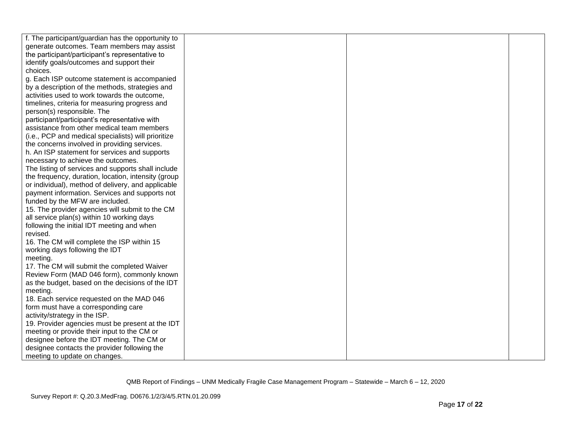| f. The participant/guardian has the opportunity to  |  |  |
|-----------------------------------------------------|--|--|
| generate outcomes. Team members may assist          |  |  |
| the participant/participant's representative to     |  |  |
| identify goals/outcomes and support their           |  |  |
| choices.                                            |  |  |
| g. Each ISP outcome statement is accompanied        |  |  |
| by a description of the methods, strategies and     |  |  |
| activities used to work towards the outcome,        |  |  |
| timelines, criteria for measuring progress and      |  |  |
| person(s) responsible. The                          |  |  |
| participant/participant's representative with       |  |  |
| assistance from other medical team members          |  |  |
| (i.e., PCP and medical specialists) will prioritize |  |  |
| the concerns involved in providing services.        |  |  |
| h. An ISP statement for services and supports       |  |  |
| necessary to achieve the outcomes.                  |  |  |
| The listing of services and supports shall include  |  |  |
| the frequency, duration, location, intensity (group |  |  |
| or individual), method of delivery, and applicable  |  |  |
| payment information. Services and supports not      |  |  |
| funded by the MFW are included.                     |  |  |
| 15. The provider agencies will submit to the CM     |  |  |
| all service plan(s) within 10 working days          |  |  |
| following the initial IDT meeting and when          |  |  |
| revised.                                            |  |  |
| 16. The CM will complete the ISP within 15          |  |  |
| working days following the IDT                      |  |  |
| meeting.                                            |  |  |
| 17. The CM will submit the completed Waiver         |  |  |
| Review Form (MAD 046 form), commonly known          |  |  |
| as the budget, based on the decisions of the IDT    |  |  |
| meeting.                                            |  |  |
| 18. Each service requested on the MAD 046           |  |  |
| form must have a corresponding care                 |  |  |
| activity/strategy in the ISP.                       |  |  |
| 19. Provider agencies must be present at the IDT    |  |  |
| meeting or provide their input to the CM or         |  |  |
| designee before the IDT meeting. The CM or          |  |  |
| designee contacts the provider following the        |  |  |
| meeting to update on changes.                       |  |  |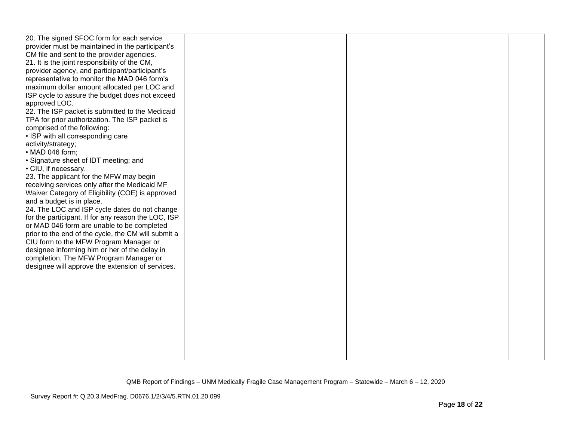| 20. The signed SFOC form for each service           |  |  |
|-----------------------------------------------------|--|--|
| provider must be maintained in the participant's    |  |  |
| CM file and sent to the provider agencies.          |  |  |
| 21. It is the joint responsibility of the CM,       |  |  |
| provider agency, and participant/participant's      |  |  |
| representative to monitor the MAD 046 form's        |  |  |
| maximum dollar amount allocated per LOC and         |  |  |
| ISP cycle to assure the budget does not exceed      |  |  |
| approved LOC.                                       |  |  |
| 22. The ISP packet is submitted to the Medicaid     |  |  |
| TPA for prior authorization. The ISP packet is      |  |  |
| comprised of the following:                         |  |  |
| • ISP with all corresponding care                   |  |  |
| activity/strategy;                                  |  |  |
| • MAD 046 form;                                     |  |  |
| • Signature sheet of IDT meeting; and               |  |  |
| • CIU, if necessary.                                |  |  |
| 23. The applicant for the MFW may begin             |  |  |
| receiving services only after the Medicaid MF       |  |  |
| Waiver Category of Eligibility (COE) is approved    |  |  |
| and a budget is in place.                           |  |  |
| 24. The LOC and ISP cycle dates do not change       |  |  |
| for the participant. If for any reason the LOC, ISP |  |  |
| or MAD 046 form are unable to be completed          |  |  |
| prior to the end of the cycle, the CM will submit a |  |  |
| CIU form to the MFW Program Manager or              |  |  |
| designee informing him or her of the delay in       |  |  |
| completion. The MFW Program Manager or              |  |  |
| designee will approve the extension of services.    |  |  |
|                                                     |  |  |
|                                                     |  |  |
|                                                     |  |  |
|                                                     |  |  |
|                                                     |  |  |
|                                                     |  |  |
|                                                     |  |  |
|                                                     |  |  |
|                                                     |  |  |
|                                                     |  |  |
|                                                     |  |  |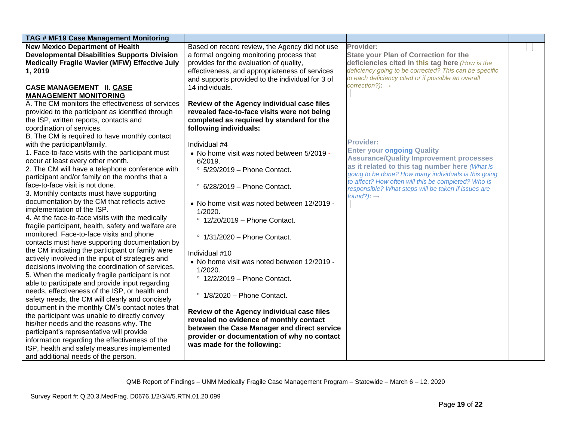| TAG # MF19 Case Management Monitoring                                                       |                                                  |                                                                                                             |  |
|---------------------------------------------------------------------------------------------|--------------------------------------------------|-------------------------------------------------------------------------------------------------------------|--|
| <b>New Mexico Department of Health</b>                                                      | Based on record review, the Agency did not use   | Provider:                                                                                                   |  |
| <b>Developmental Disabilities Supports Division</b>                                         | a formal ongoing monitoring process that         | <b>State your Plan of Correction for the</b>                                                                |  |
| <b>Medically Fragile Wavier (MFW) Effective July</b>                                        | provides for the evaluation of quality,          | deficiencies cited in this tag here (How is the                                                             |  |
| 1,2019                                                                                      | effectiveness, and appropriateness of services   | deficiency going to be corrected? This can be specific                                                      |  |
|                                                                                             | and supports provided to the individual for 3 of | to each deficiency cited or if possible an overall                                                          |  |
| <b>CASE MANAGEMENT II. CASE</b>                                                             | 14 individuals.                                  | correction?): $\rightarrow$                                                                                 |  |
| <b>MANAGEMENT MONITORING</b>                                                                |                                                  |                                                                                                             |  |
| A. The CM monitors the effectiveness of services                                            | Review of the Agency individual case files       |                                                                                                             |  |
| provided to the participant as identified through                                           | revealed face-to-face visits were not being      |                                                                                                             |  |
| the ISP, written reports, contacts and                                                      | completed as required by standard for the        |                                                                                                             |  |
| coordination of services.                                                                   | following individuals:                           |                                                                                                             |  |
| B. The CM is required to have monthly contact                                               |                                                  |                                                                                                             |  |
| with the participant/family.                                                                | Individual #4                                    | <b>Provider:</b>                                                                                            |  |
| 1. Face-to-face visits with the participant must                                            | • No home visit was noted between 5/2019 -       | <b>Enter your ongoing Quality</b>                                                                           |  |
| occur at least every other month.                                                           | 6/2019.                                          | <b>Assurance/Quality Improvement processes</b>                                                              |  |
| 2. The CM will have a telephone conference with                                             | $\degree$ 5/29/2019 - Phone Contact.             | as it related to this tag number here (What is                                                              |  |
| participant and/or family on the months that a                                              |                                                  | going to be done? How many individuals is this going<br>to affect? How often will this be completed? Who is |  |
| face-to-face visit is not done.                                                             | $\degree$ 6/28/2019 - Phone Contact.             | responsible? What steps will be taken if issues are                                                         |  |
| 3. Monthly contacts must have supporting                                                    |                                                  | found?): $\rightarrow$                                                                                      |  |
| documentation by the CM that reflects active                                                | • No home visit was noted between 12/2019 -      |                                                                                                             |  |
| implementation of the ISP.                                                                  | 1/2020.                                          |                                                                                                             |  |
| 4. At the face-to-face visits with the medically                                            | ° 12/20/2019 - Phone Contact.                    |                                                                                                             |  |
| fragile participant, health, safety and welfare are                                         |                                                  |                                                                                                             |  |
| monitored. Face-to-face visits and phone                                                    | $\degree$ 1/31/2020 - Phone Contact.             |                                                                                                             |  |
| contacts must have supporting documentation by                                              |                                                  |                                                                                                             |  |
| the CM indicating the participant or family were                                            | Individual #10                                   |                                                                                                             |  |
| actively involved in the input of strategies and                                            | • No home visit was noted between 12/2019 -      |                                                                                                             |  |
| decisions involving the coordination of services.                                           | 1/2020.                                          |                                                                                                             |  |
| 5. When the medically fragile participant is not                                            | $\degree$ 12/2/2019 - Phone Contact.             |                                                                                                             |  |
| able to participate and provide input regarding                                             |                                                  |                                                                                                             |  |
| needs, effectiveness of the ISP, or health and                                              | $\degree$ 1/8/2020 - Phone Contact.              |                                                                                                             |  |
| safety needs, the CM will clearly and concisely                                             |                                                  |                                                                                                             |  |
| document in the monthly CM's contact notes that                                             | Review of the Agency individual case files       |                                                                                                             |  |
| the participant was unable to directly convey                                               | revealed no evidence of monthly contact          |                                                                                                             |  |
| his/her needs and the reasons why. The                                                      | between the Case Manager and direct service      |                                                                                                             |  |
| participant's representative will provide<br>information regarding the effectiveness of the | provider or documentation of why no contact      |                                                                                                             |  |
| ISP, health and safety measures implemented                                                 | was made for the following:                      |                                                                                                             |  |
| and additional needs of the person.                                                         |                                                  |                                                                                                             |  |
|                                                                                             |                                                  |                                                                                                             |  |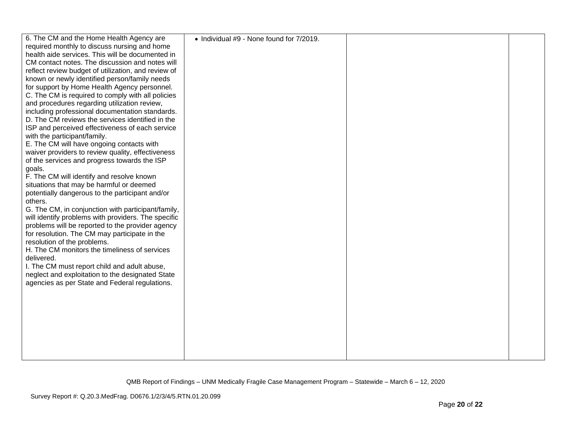| 6. The CM and the Home Health Agency are            | • Individual #9 - None found for 7/2019. |  |
|-----------------------------------------------------|------------------------------------------|--|
| required monthly to discuss nursing and home        |                                          |  |
| health aide services. This will be documented in    |                                          |  |
| CM contact notes. The discussion and notes will     |                                          |  |
| reflect review budget of utilization, and review of |                                          |  |
| known or newly identified person/family needs       |                                          |  |
| for support by Home Health Agency personnel.        |                                          |  |
| C. The CM is required to comply with all policies   |                                          |  |
| and procedures regarding utilization review,        |                                          |  |
| including professional documentation standards.     |                                          |  |
| D. The CM reviews the services identified in the    |                                          |  |
| ISP and perceived effectiveness of each service     |                                          |  |
| with the participant/family.                        |                                          |  |
| E. The CM will have ongoing contacts with           |                                          |  |
| waiver providers to review quality, effectiveness   |                                          |  |
| of the services and progress towards the ISP        |                                          |  |
| goals.                                              |                                          |  |
| F. The CM will identify and resolve known           |                                          |  |
| situations that may be harmful or deemed            |                                          |  |
| potentially dangerous to the participant and/or     |                                          |  |
| others.                                             |                                          |  |
| G. The CM, in conjunction with participant/family,  |                                          |  |
| will identify problems with providers. The specific |                                          |  |
| problems will be reported to the provider agency    |                                          |  |
| for resolution. The CM may participate in the       |                                          |  |
| resolution of the problems.                         |                                          |  |
| H. The CM monitors the timeliness of services       |                                          |  |
| delivered.                                          |                                          |  |
| I. The CM must report child and adult abuse,        |                                          |  |
| neglect and exploitation to the designated State    |                                          |  |
| agencies as per State and Federal regulations.      |                                          |  |
|                                                     |                                          |  |
|                                                     |                                          |  |
|                                                     |                                          |  |
|                                                     |                                          |  |
|                                                     |                                          |  |
|                                                     |                                          |  |
|                                                     |                                          |  |
|                                                     |                                          |  |
|                                                     |                                          |  |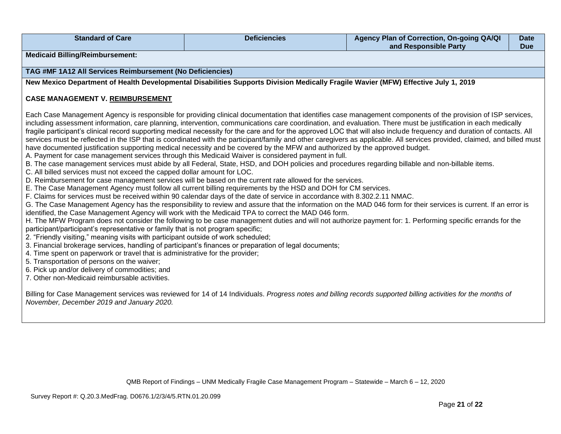| <b>Standard of Care</b>                                                                                                                                                                                                                                                                                                                                                                                                                                                                                                                                                                                                                                                                                                                                                                                                                                                                                                                                                                                                                                                                                                                                                                                                                                                                                                                                                                                                                                                                                                                                                                                                                                                                                                                                                                                                                                                                                                                                                                                                                                                                                                                                                                                                                                                                                                                                                                                                                                                                                                                                                                                                                                                                                   | <b>Deficiencies</b> | Agency Plan of Correction, On-going QA/QI<br>and Responsible Party | <b>Date</b><br><b>Due</b> |
|-----------------------------------------------------------------------------------------------------------------------------------------------------------------------------------------------------------------------------------------------------------------------------------------------------------------------------------------------------------------------------------------------------------------------------------------------------------------------------------------------------------------------------------------------------------------------------------------------------------------------------------------------------------------------------------------------------------------------------------------------------------------------------------------------------------------------------------------------------------------------------------------------------------------------------------------------------------------------------------------------------------------------------------------------------------------------------------------------------------------------------------------------------------------------------------------------------------------------------------------------------------------------------------------------------------------------------------------------------------------------------------------------------------------------------------------------------------------------------------------------------------------------------------------------------------------------------------------------------------------------------------------------------------------------------------------------------------------------------------------------------------------------------------------------------------------------------------------------------------------------------------------------------------------------------------------------------------------------------------------------------------------------------------------------------------------------------------------------------------------------------------------------------------------------------------------------------------------------------------------------------------------------------------------------------------------------------------------------------------------------------------------------------------------------------------------------------------------------------------------------------------------------------------------------------------------------------------------------------------------------------------------------------------------------------------------------------------|---------------------|--------------------------------------------------------------------|---------------------------|
| <b>Medicaid Billing/Reimbursement:</b>                                                                                                                                                                                                                                                                                                                                                                                                                                                                                                                                                                                                                                                                                                                                                                                                                                                                                                                                                                                                                                                                                                                                                                                                                                                                                                                                                                                                                                                                                                                                                                                                                                                                                                                                                                                                                                                                                                                                                                                                                                                                                                                                                                                                                                                                                                                                                                                                                                                                                                                                                                                                                                                                    |                     |                                                                    |                           |
| TAG #MF 1A12 All Services Reimbursement (No Deficiencies)                                                                                                                                                                                                                                                                                                                                                                                                                                                                                                                                                                                                                                                                                                                                                                                                                                                                                                                                                                                                                                                                                                                                                                                                                                                                                                                                                                                                                                                                                                                                                                                                                                                                                                                                                                                                                                                                                                                                                                                                                                                                                                                                                                                                                                                                                                                                                                                                                                                                                                                                                                                                                                                 |                     |                                                                    |                           |
| New Mexico Department of Health Developmental Disabilities Supports Division Medically Fragile Wavier (MFW) Effective July 1, 2019                                                                                                                                                                                                                                                                                                                                                                                                                                                                                                                                                                                                                                                                                                                                                                                                                                                                                                                                                                                                                                                                                                                                                                                                                                                                                                                                                                                                                                                                                                                                                                                                                                                                                                                                                                                                                                                                                                                                                                                                                                                                                                                                                                                                                                                                                                                                                                                                                                                                                                                                                                        |                     |                                                                    |                           |
| <b>CASE MANAGEMENT V. REIMBURSEMENT</b>                                                                                                                                                                                                                                                                                                                                                                                                                                                                                                                                                                                                                                                                                                                                                                                                                                                                                                                                                                                                                                                                                                                                                                                                                                                                                                                                                                                                                                                                                                                                                                                                                                                                                                                                                                                                                                                                                                                                                                                                                                                                                                                                                                                                                                                                                                                                                                                                                                                                                                                                                                                                                                                                   |                     |                                                                    |                           |
| Each Case Management Agency is responsible for providing clinical documentation that identifies case management components of the provision of ISP services,<br>including assessment information, care planning, intervention, communications care coordination, and evaluation. There must be justification in each medically<br>fragile participant's clinical record supporting medical necessity for the care and for the approved LOC that will also include frequency and duration of contacts. All<br>services must be reflected in the ISP that is coordinated with the participant/family and other caregivers as applicable. All services provided, claimed, and billed must<br>have documented justification supporting medical necessity and be covered by the MFW and authorized by the approved budget.<br>A. Payment for case management services through this Medicaid Waiver is considered payment in full.<br>B. The case management services must abide by all Federal, State, HSD, and DOH policies and procedures regarding billable and non-billable items.<br>C. All billed services must not exceed the capped dollar amount for LOC.<br>D. Reimbursement for case management services will be based on the current rate allowed for the services.<br>E. The Case Management Agency must follow all current billing requirements by the HSD and DOH for CM services.<br>F. Claims for services must be received within 90 calendar days of the date of service in accordance with 8.302.2.11 NMAC.<br>G. The Case Management Agency has the responsibility to review and assure that the information on the MAD 046 form for their services is current. If an error is<br>identified, the Case Management Agency will work with the Medicaid TPA to correct the MAD 046 form.<br>H. The MFW Program does not consider the following to be case management duties and will not authorize payment for: 1. Performing specific errands for the<br>participant/participant's representative or family that is not program specific;<br>2. "Friendly visiting," meaning visits with participant outside of work scheduled;<br>3. Financial brokerage services, handling of participant's finances or preparation of legal documents;<br>4. Time spent on paperwork or travel that is administrative for the provider;<br>5. Transportation of persons on the waiver;<br>6. Pick up and/or delivery of commodities; and<br>7. Other non-Medicaid reimbursable activities.<br>Billing for Case Management services was reviewed for 14 of 14 Individuals. Progress notes and billing records supported billing activities for the months of<br>November, December 2019 and January 2020. |                     |                                                                    |                           |